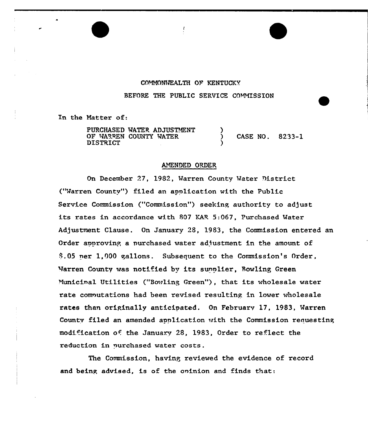# COMMONWEALTH OF KENTUCKY

 $\mathbf{I}$ 

BEFORE THE PUBLIC SERVICE COMMISSION

In the Matter of:

PURCHASED WATER ADJUSTMENT OF WARREN COUNTY WATER CASE NO. 8233-1 **DISTRICT** 

#### AMENDED ORDER

On December 27, 1982, Warren County Water District ("Warren County") filed an application with the Public Service Commission ("Commission") seeking authority to adjust its rates in accordance with 807 KAR 5:067, Purchased Water Adjustment Clause. On January 28, 1983, the Commission entered an Order approving a purchased water adjustment in the amount of \$.05 ner 1,000 gallons. Subsequent to the Commission's Order, Warren County was notified by its sunnlier, Bowling Green Municinal Utilities ("Bowling Green"), that its wholesale water rate computations had been revised resulting in lower wholesale rates than originally anticipated. On February 17, 1983, Warren County filed an amended application with the Commission requesting modification of the January 28, 1983, Order to reflect the reduction in purchased water costs.

The Commission, having reviewed the evidence of record and being advised, is of the opinion and finds that: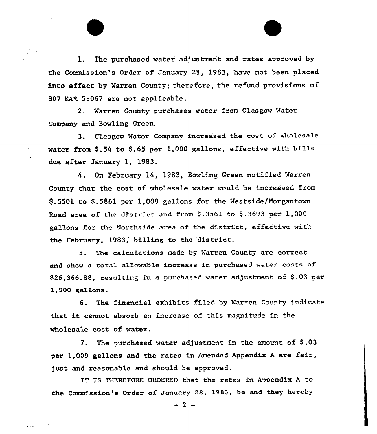1. The purchased water adjustment and rates approved by the Commission's Order of January 28, 1983, have not been placed into effect by Warren County; therefore, the refund provisions of 807 KAR 5:067 are not applicable.

2. Warren County purchases water from Glasgow Water Company and Bowling Green.

3. Clasgow Mater Company increased the cost of wholesale water from \$.54 to \$.65 per 1,000 gallons, effective with bills due after January 1, 1983.

4. On February 14, 1983, Bowling Green notified Warren County that, the cost. of wholesale watex would be increased from 9.5501 to 9.5861 per 1,000 gallons fox the Uestside/Norgantown Road area of the district and from  $$.3561$  to  $$.3693$  per 1,000 gallons fox'he Northside area of the district, effective with the February, 1983, billing to the district.

5. The calculations made by Harren County are correct and show a total allowable increase in purchased water costs of  $$26,366.88$ , resulting in a purchased water adjustment of  $$.03$  per 1,000 gallons.

6. The financial exhibits filed by Maxren County indicate that it cannot absorb an increase of this magnitude in the wholesale cost of water.

7. The purchased water adjustment in the amount of \$.03 per 1,000 gallon's and the rates in Amended Appendix A are fair, just and reasonable and should be approved.

IT IS THEREFORE ORDERED that the rates in Annendix A to the Commission's Order of January 28, 1983, be and they hereby

 $-2$   $-$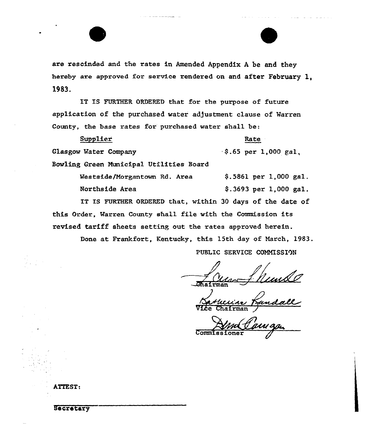

are rescinded and the rates in Amended Appendix <sup>A</sup> be and they hereby are approved for service rendered on and after February 1, 1983.

IT IS FURTHER ORDERED that for the purpose of future application of the purchased water adjustment clause of Warren County, the base rates for purchased water shall be:

Glasgow Water Company Bowling Green Municipal Utilities Board  $\frac{1}{2}$  .65 per 1,000 gal,

Westside/Morgantown Rd. Area \$.5861 per 1,000 gal. Northside Area  $\frac{1}{2}$ , 3693 per 1,000 gal. IT IS FURTHER ORDERED that, within 30 days of the date of this Order, Varren County shall file with the Commission its

revised tariff sheets settinp out the rates approved herein.

Done at Frankfort, Kentucky, this 15th day of March, 1983.

PUBLIC SERVICE COMMISSION

Rate

 $\frac{1}{\sqrt{2}}$ 

Vice Chairman

Commissioner

ATTEST:

Supplier

**Secretary**